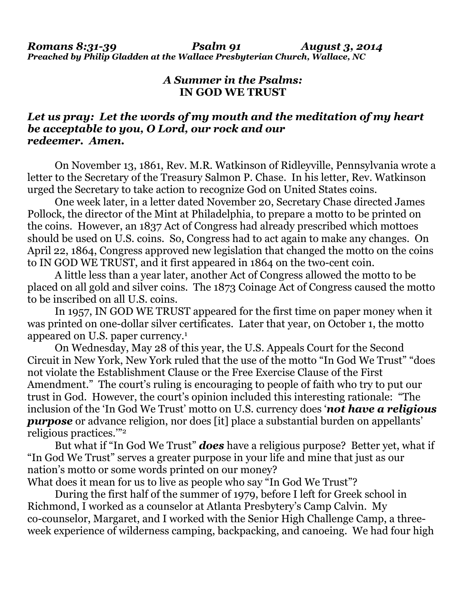*Romans 8:31-39 Psalm 91 August 3, 2014 Preached by Philip Gladden at the Wallace Presbyterian Church, Wallace, NC* 

## *A Summer in the Psalms:*  **IN GOD WE TRUST**

## *Let us pray: Let the words of my mouth and the meditation of my heart be acceptable to you, O Lord, our rock and our redeemer. Amen.*

On November 13, 1861, Rev. M.R. Watkinson of Ridleyville, Pennsylvania wrote a letter to the Secretary of the Treasury Salmon P. Chase. In his letter, Rev. Watkinson urged the Secretary to take action to recognize God on United States coins.

 One week later, in a letter dated November 20, Secretary Chase directed James Pollock, the director of the Mint at Philadelphia, to prepare a motto to be printed on the coins. However, an 1837 Act of Congress had already prescribed which mottoes should be used on U.S. coins. So, Congress had to act again to make any changes. On April 22, 1864, Congress approved new legislation that changed the motto on the coins to IN GOD WE TRUST, and it first appeared in 1864 on the two-cent coin.

 A little less than a year later, another Act of Congress allowed the motto to be placed on all gold and silver coins. The 1873 Coinage Act of Congress caused the motto to be inscribed on all U.S. coins.

 In 1957, IN GOD WE TRUST appeared for the first time on paper money when it was printed on one-dollar silver certificates. Later that year, on October 1, the motto appeared on U.S. paper currency.1

 On Wednesday, May 28 of this year, the U.S. Appeals Court for the Second Circuit in New York, New York ruled that the use of the motto "In God We Trust" "does not violate the Establishment Clause or the Free Exercise Clause of the First Amendment." The court's ruling is encouraging to people of faith who try to put our trust in God. However, the court's opinion included this interesting rationale: "The inclusion of the 'In God We Trust' motto on U.S. currency does '*not have a religious purpose* or advance religion, nor does [it] place a substantial burden on appellants' religious practices.'"2

But what if "In God We Trust" *does* have a religious purpose? Better yet, what if "In God We Trust" serves a greater purpose in your life and mine that just as our nation's motto or some words printed on our money?

What does it mean for us to live as people who say "In God We Trust"?

 During the first half of the summer of 1979, before I left for Greek school in Richmond, I worked as a counselor at Atlanta Presbytery's Camp Calvin. My co-counselor, Margaret, and I worked with the Senior High Challenge Camp, a threeweek experience of wilderness camping, backpacking, and canoeing. We had four high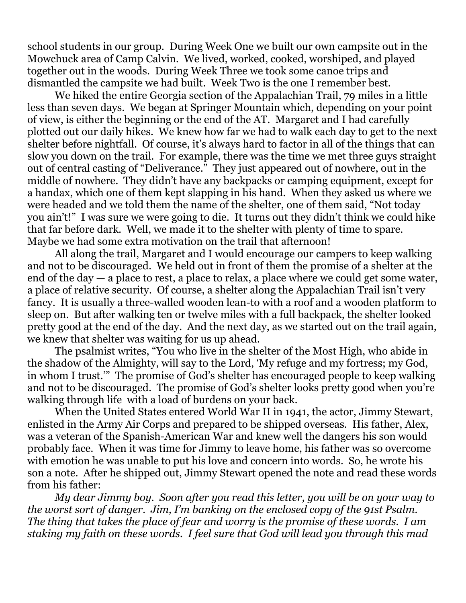school students in our group. During Week One we built our own campsite out in the Mowchuck area of Camp Calvin. We lived, worked, cooked, worshiped, and played together out in the woods. During Week Three we took some canoe trips and dismantled the campsite we had built. Week Two is the one I remember best.

 We hiked the entire Georgia section of the Appalachian Trail, 79 miles in a little less than seven days. We began at Springer Mountain which, depending on your point of view, is either the beginning or the end of the AT. Margaret and I had carefully plotted out our daily hikes. We knew how far we had to walk each day to get to the next shelter before nightfall. Of course, it's always hard to factor in all of the things that can slow you down on the trail. For example, there was the time we met three guys straight out of central casting of "Deliverance." They just appeared out of nowhere, out in the middle of nowhere. They didn't have any backpacks or camping equipment, except for a handax, which one of them kept slapping in his hand. When they asked us where we were headed and we told them the name of the shelter, one of them said, "Not today you ain't!" I was sure we were going to die. It turns out they didn't think we could hike that far before dark. Well, we made it to the shelter with plenty of time to spare. Maybe we had some extra motivation on the trail that afternoon!

 All along the trail, Margaret and I would encourage our campers to keep walking and not to be discouraged. We held out in front of them the promise of a shelter at the end of the day — a place to rest, a place to relax, a place where we could get some water, a place of relative security. Of course, a shelter along the Appalachian Trail isn't very fancy. It is usually a three-walled wooden lean-to with a roof and a wooden platform to sleep on. But after walking ten or twelve miles with a full backpack, the shelter looked pretty good at the end of the day. And the next day, as we started out on the trail again, we knew that shelter was waiting for us up ahead.

 The psalmist writes, "You who live in the shelter of the Most High, who abide in the shadow of the Almighty, will say to the Lord, 'My refuge and my fortress; my God, in whom I trust.'" The promise of God's shelter has encouraged people to keep walking and not to be discouraged. The promise of God's shelter looks pretty good when you're walking through life with a load of burdens on your back.

 When the United States entered World War II in 1941, the actor, Jimmy Stewart, enlisted in the Army Air Corps and prepared to be shipped overseas. His father, Alex, was a veteran of the Spanish-American War and knew well the dangers his son would probably face. When it was time for Jimmy to leave home, his father was so overcome with emotion he was unable to put his love and concern into words. So, he wrote his son a note. After he shipped out, Jimmy Stewart opened the note and read these words from his father:

*My dear Jimmy boy. Soon after you read this letter, you will be on your way to the worst sort of danger. Jim, I'm banking on the enclosed copy of the 91st Psalm. The thing that takes the place of fear and worry is the promise of these words. I am staking my faith on these words. I feel sure that God will lead you through this mad*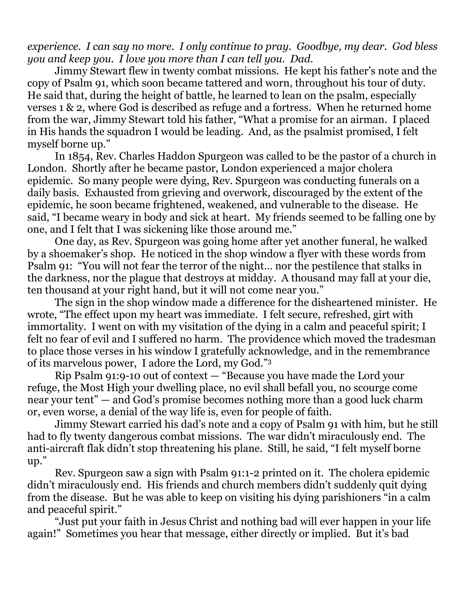*experience. I can say no more. I only continue to pray. Goodbye, my dear. God bless you and keep you. I love you more than I can tell you. Dad.* 

Jimmy Stewart flew in twenty combat missions. He kept his father's note and the copy of Psalm 91, which soon became tattered and worn, throughout his tour of duty. He said that, during the height of battle, he learned to lean on the psalm, especially verses 1 & 2, where God is described as refuge and a fortress. When he returned home from the war, Jimmy Stewart told his father, "What a promise for an airman. I placed in His hands the squadron I would be leading. And, as the psalmist promised, I felt myself borne up."

 In 1854, Rev. Charles Haddon Spurgeon was called to be the pastor of a church in London. Shortly after he became pastor, London experienced a major cholera epidemic. So many people were dying, Rev. Spurgeon was conducting funerals on a daily basis. Exhausted from grieving and overwork, discouraged by the extent of the epidemic, he soon became frightened, weakened, and vulnerable to the disease. He said, "I became weary in body and sick at heart. My friends seemed to be falling one by one, and I felt that I was sickening like those around me."

 One day, as Rev. Spurgeon was going home after yet another funeral, he walked by a shoemaker's shop. He noticed in the shop window a flyer with these words from Psalm 91: "You will not fear the terror of the night… nor the pestilence that stalks in the darkness, nor the plague that destroys at midday. A thousand may fall at your die, ten thousand at your right hand, but it will not come near you."

 The sign in the shop window made a difference for the disheartened minister. He wrote, "The effect upon my heart was immediate. I felt secure, refreshed, girt with immortality. I went on with my visitation of the dying in a calm and peaceful spirit; I felt no fear of evil and I suffered no harm. The providence which moved the tradesman to place those verses in his window I gratefully acknowledge, and in the remembrance of its marvelous power, I adore the Lord, my God."3

Rip Psalm 91:9-10 out of context — "Because you have made the Lord your refuge, the Most High your dwelling place, no evil shall befall you, no scourge come near your tent" — and God's promise becomes nothing more than a good luck charm or, even worse, a denial of the way life is, even for people of faith.

 Jimmy Stewart carried his dad's note and a copy of Psalm 91 with him, but he still had to fly twenty dangerous combat missions. The war didn't miraculously end. The anti-aircraft flak didn't stop threatening his plane. Still, he said, "I felt myself borne up."

 Rev. Spurgeon saw a sign with Psalm 91:1-2 printed on it. The cholera epidemic didn't miraculously end. His friends and church members didn't suddenly quit dying from the disease. But he was able to keep on visiting his dying parishioners "in a calm and peaceful spirit."

 "Just put your faith in Jesus Christ and nothing bad will ever happen in your life again!" Sometimes you hear that message, either directly or implied. But it's bad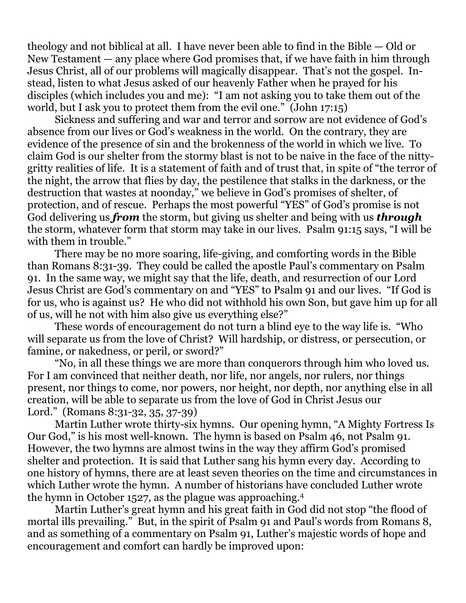theology and not biblical at all. I have never been able to find in the Bible — Old or New Testament — any place where God promises that, if we have faith in him through Jesus Christ, all of our problems will magically disappear. That's not the gospel. Instead, listen to what Jesus asked of our heavenly Father when he prayed for his disciples (which includes you and me): "I am not asking you to take them out of the world, but I ask you to protect them from the evil one." (John 17:15)

 Sickness and suffering and war and terror and sorrow are not evidence of God's absence from our lives or God's weakness in the world. On the contrary, they are evidence of the presence of sin and the brokenness of the world in which we live. To claim God is our shelter from the stormy blast is not to be naive in the face of the nittygritty realities of life. It is a statement of faith and of trust that, in spite of "the terror of the night, the arrow that flies by day, the pestilence that stalks in the darkness, or the destruction that wastes at noonday," we believe in God's promises of shelter, of protection, and of rescue. Perhaps the most powerful "YES" of God's promise is not God delivering us *from* the storm, but giving us shelter and being with us *through*  the storm, whatever form that storm may take in our lives. Psalm 91:15 says, "I will be with them in trouble."

 There may be no more soaring, life-giving, and comforting words in the Bible than Romans 8:31-39. They could be called the apostle Paul's commentary on Psalm 91. In the same way, we might say that the life, death, and resurrection of our Lord Jesus Christ are God's commentary on and "YES" to Psalm 91 and our lives. "If God is for us, who is against us? He who did not withhold his own Son, but gave him up for all of us, will he not with him also give us everything else?"

 These words of encouragement do not turn a blind eye to the way life is. "Who will separate us from the love of Christ? Will hardship, or distress, or persecution, or famine, or nakedness, or peril, or sword?"

 "No, in all these things we are more than conquerors through him who loved us. For I am convinced that neither death, nor life, nor angels, nor rulers, nor things present, nor things to come, nor powers, nor height, nor depth, nor anything else in all creation, will be able to separate us from the love of God in Christ Jesus our Lord." (Romans 8:31-32, 35, 37-39)

 Martin Luther wrote thirty-six hymns. Our opening hymn, "A Mighty Fortress Is Our God," is his most well-known. The hymn is based on Psalm 46, not Psalm 91. However, the two hymns are almost twins in the way they affirm God's promised shelter and protection. It is said that Luther sang his hymn every day. According to one history of hymns, there are at least seven theories on the time and circumstances in which Luther wrote the hymn. A number of historians have concluded Luther wrote the hymn in October 1527, as the plague was approaching.4

 Martin Luther's great hymn and his great faith in God did not stop "the flood of mortal ills prevailing." But, in the spirit of Psalm 91 and Paul's words from Romans 8, and as something of a commentary on Psalm 91, Luther's majestic words of hope and encouragement and comfort can hardly be improved upon: